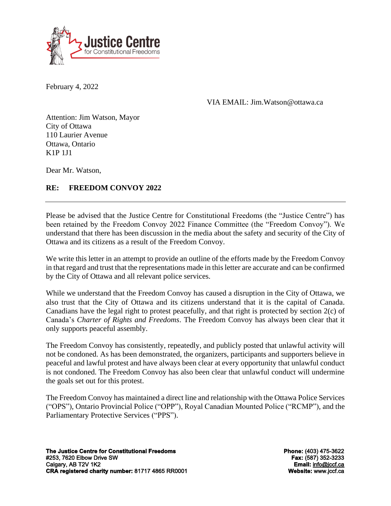

February 4, 2022

VIA EMAIL: Jim.Watson@ottawa.ca

Attention: Jim Watson, Mayor City of Ottawa 110 Laurier Avenue Ottawa, Ontario K1P 1J1

Dear Mr. Watson,

## **RE: FREEDOM CONVOY 2022**

Please be advised that the Justice Centre for Constitutional Freedoms (the "Justice Centre") has been retained by the Freedom Convoy 2022 Finance Committee (the "Freedom Convoy"). We understand that there has been discussion in the media about the safety and security of the City of Ottawa and its citizens as a result of the Freedom Convoy.

We write this letter in an attempt to provide an outline of the efforts made by the Freedom Convoy in that regard and trust that the representations made in this letter are accurate and can be confirmed by the City of Ottawa and all relevant police services.

While we understand that the Freedom Convoy has caused a disruption in the City of Ottawa, we also trust that the City of Ottawa and its citizens understand that it is the capital of Canada. Canadians have the legal right to protest peacefully, and that right is protected by section 2(c) of Canada's *Charter of Rights and Freedoms*. The Freedom Convoy has always been clear that it only supports peaceful assembly.

The Freedom Convoy has consistently, repeatedly, and publicly posted that unlawful activity will not be condoned. As has been demonstrated, the organizers, participants and supporters believe in peaceful and lawful protest and have always been clear at every opportunity that unlawful conduct is not condoned. The Freedom Convoy has also been clear that unlawful conduct will undermine the goals set out for this protest.

The Freedom Convoy has maintained a direct line and relationship with the Ottawa Police Services ("OPS"), Ontario Provincial Police ("OPP"), Royal Canadian Mounted Police ("RCMP"), and the Parliamentary Protective Services ("PPS").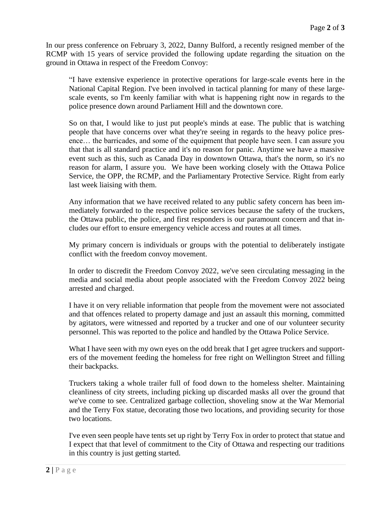In our press conference on February 3, 2022, Danny Bulford, a recently resigned member of the RCMP with 15 years of service provided the following update regarding the situation on the ground in Ottawa in respect of the Freedom Convoy:

"I have extensive experience in protective operations for large-scale events here in the National Capital Region. I've been involved in tactical planning for many of these largescale events, so I'm keenly familiar with what is happening right now in regards to the police presence down around Parliament Hill and the downtown core.

So on that, I would like to just put people's minds at ease. The public that is watching people that have concerns over what they're seeing in regards to the heavy police presence… the barricades, and some of the equipment that people have seen. I can assure you that that is all standard practice and it's no reason for panic. Anytime we have a massive event such as this, such as Canada Day in downtown Ottawa, that's the norm, so it's no reason for alarm, I assure you. We have been working closely with the Ottawa Police Service, the OPP, the RCMP, and the Parliamentary Protective Service. Right from early last week liaising with them.

Any information that we have received related to any public safety concern has been immediately forwarded to the respective police services because the safety of the truckers, the Ottawa public, the police, and first responders is our paramount concern and that includes our effort to ensure emergency vehicle access and routes at all times.

My primary concern is individuals or groups with the potential to deliberately instigate conflict with the freedom convoy movement.

In order to discredit the Freedom Convoy 2022, we've seen circulating messaging in the media and social media about people associated with the Freedom Convoy 2022 being arrested and charged.

I have it on very reliable information that people from the movement were not associated and that offences related to property damage and just an assault this morning, committed by agitators, were witnessed and reported by a trucker and one of our volunteer security personnel. This was reported to the police and handled by the Ottawa Police Service.

What I have seen with my own eyes on the odd break that I get agree truckers and supporters of the movement feeding the homeless for free right on Wellington Street and filling their backpacks.

Truckers taking a whole trailer full of food down to the homeless shelter. Maintaining cleanliness of city streets, including picking up discarded masks all over the ground that we've come to see. Centralized garbage collection, shoveling snow at the War Memorial and the Terry Fox statue, decorating those two locations, and providing security for those two locations.

I've even seen people have tents set up right by Terry Fox in order to protect that statue and I expect that that level of commitment to the City of Ottawa and respecting our traditions in this country is just getting started.